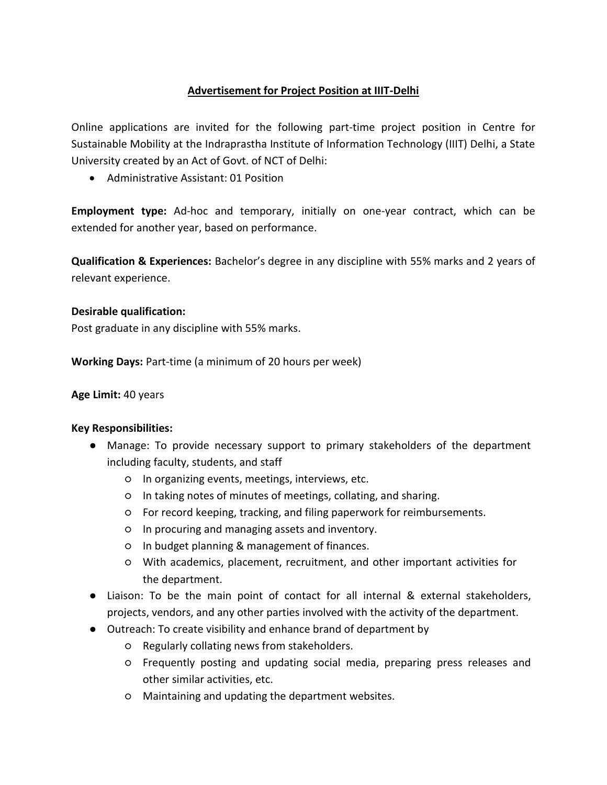# **Advertisement for Project Position at IIIT-Delhi**

Online applications are invited for the following part-time project position in Centre for Sustainable Mobility at the Indraprastha Institute of Information Technology (IIIT) Delhi, a State University created by an Act of Govt. of NCT of Delhi:

Administrative Assistant: 01 Position

**Employment type:** Ad-hoc and temporary, initially on one-year contract, which can be extended for another year, based on performance.

**Qualification & Experiences:** Bachelor's degree in any discipline with 55% marks and 2 years of relevant experience.

### **Desirable qualification:**

Post graduate in any discipline with 55% marks.

**Working Days:** Part-time (a minimum of 20 hours per week)

#### **Age Limit:** 40 years

#### **Key Responsibilities:**

- Manage: To provide necessary support to primary stakeholders of the department including faculty, students, and staff
	- In organizing events, meetings, interviews, etc.
	- In taking notes of minutes of meetings, collating, and sharing.
	- For record keeping, tracking, and filing paperwork for reimbursements.
	- In procuring and managing assets and inventory.
	- In budget planning & management of finances.
	- With academics, placement, recruitment, and other important activities for the department.
- Liaison: To be the main point of contact for all internal & external stakeholders, projects, vendors, and any other parties involved with the activity of the department.
- Outreach: To create visibility and enhance brand of department by
	- Regularly collating news from stakeholders.
	- Frequently posting and updating social media, preparing press releases and other similar activities, etc.
	- Maintaining and updating the department websites.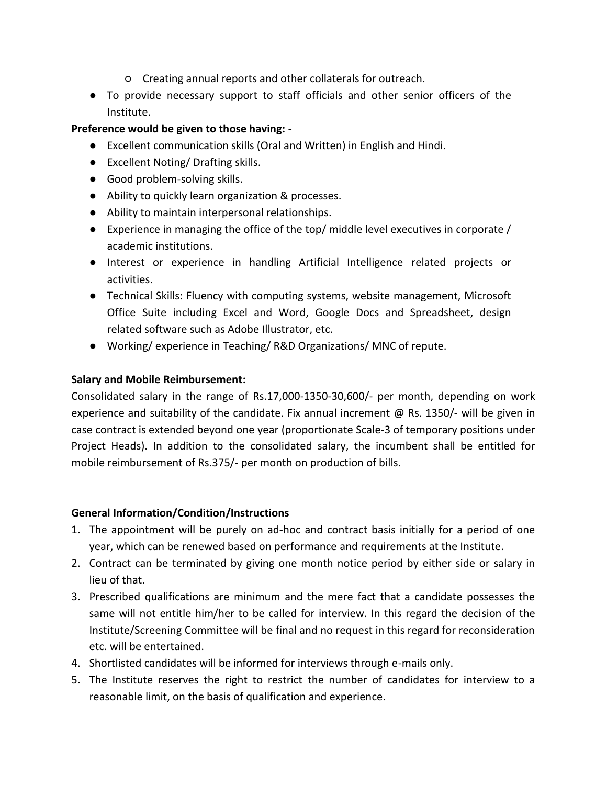- Creating annual reports and other collaterals for outreach.
- To provide necessary support to staff officials and other senior officers of the Institute.

# **Preference would be given to those having: -**

- Excellent communication skills (Oral and Written) in English and Hindi.
- Excellent Noting/ Drafting skills.
- Good problem-solving skills.
- Ability to quickly learn organization & processes.
- Ability to maintain interpersonal relationships.
- Experience in managing the office of the top/ middle level executives in corporate / academic institutions.
- Interest or experience in handling Artificial Intelligence related projects or activities.
- Technical Skills: Fluency with computing systems, website management, Microsoft Office Suite including Excel and Word, Google Docs and Spreadsheet, design related software such as Adobe Illustrator, etc.
- Working/ experience in Teaching/ R&D Organizations/ MNC of repute.

## **Salary and Mobile Reimbursement:**

Consolidated salary in the range of Rs.17,000-1350-30,600/- per month, depending on work experience and suitability of the candidate. Fix annual increment  $\omega$  Rs. 1350/- will be given in case contract is extended beyond one year (proportionate Scale-3 of temporary positions under Project Heads). In addition to the consolidated salary, the incumbent shall be entitled for mobile reimbursement of Rs.375/- per month on production of bills.

## **General Information/Condition/Instructions**

- 1. The appointment will be purely on ad-hoc and contract basis initially for a period of one year, which can be renewed based on performance and requirements at the Institute.
- 2. Contract can be terminated by giving one month notice period by either side or salary in lieu of that.
- 3. Prescribed qualifications are minimum and the mere fact that a candidate possesses the same will not entitle him/her to be called for interview. In this regard the decision of the Institute/Screening Committee will be final and no request in this regard for reconsideration etc. will be entertained.
- 4. Shortlisted candidates will be informed for interviews through e-mails only.
- 5. The Institute reserves the right to restrict the number of candidates for interview to a reasonable limit, on the basis of qualification and experience.